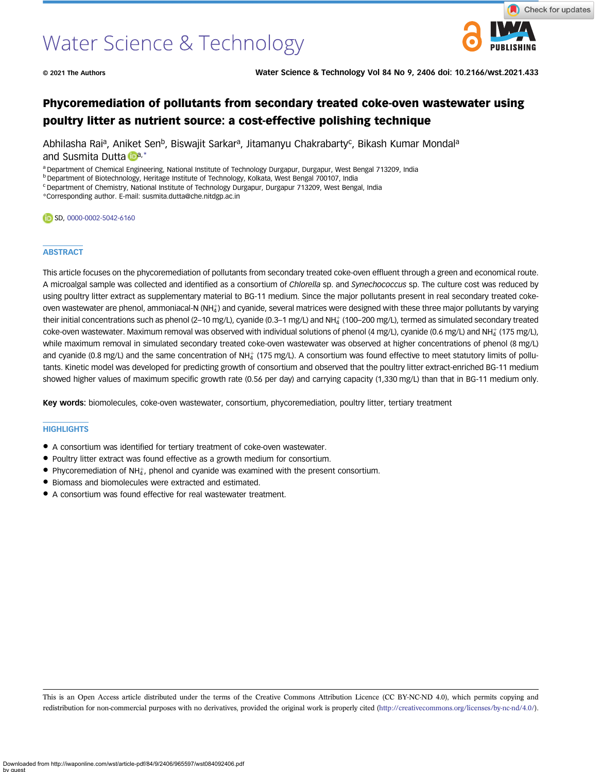# Water Science & Technology



© 2021 The Authors Water Science & Technology Vol 84 No 9, 2406 doi: 10.2166/wst.2021.433

## Phycoremediation of pollutants from secondary treated coke-oven wastewater using poultry litter as nutrient source: a cost-effective polishing technique

Abhilasha Rai<sup>a</sup>, Aniket Sen<sup>b</sup>, Biswajit Sarkar<sup>a</sup>, Jitamanyu Chakrabarty<sup>c</sup>, Bikash Kumar Mondal<sup>a</sup> and Susmita Dutta  $\mathbb{D}^{a,*}$ 

a Department of Chemical Engineering, National Institute of Technology Durgapur, Durgapur, West Bengal 713209, India

b Department of Biotechnology, Heritage Institute of Technology, Kolkata, West Bengal 700107, India

<sup>c</sup> Department of Chemistry, National Institute of Technology Durgapur, Durgapur 713209, West Bengal, India

\*Corresponding author. E-mail: [susmita.dutta@che.nitdgp.ac.in](mailto:susmita.dutta@che.nitdgp.ac.in)

#### CD SD, [0000-0002-5042-6160](http://orcid.org/0000-0002-5042-6160)

#### **ABSTRACT**

This article focuses on the phycoremediation of pollutants from secondary treated coke-oven effluent through a green and economical route. A microalgal sample was collected and identified as a consortium of Chlorella sp. and Synechococcus sp. The culture cost was reduced by using poultry litter extract as supplementary material to BG-11 medium. Since the major pollutants present in real secondary treated cokeoven wastewater are phenol, ammoniacal-N (NH $_4^+$ ) and cyanide, several matrices were designed with these three major pollutants by varying their initial concentrations such as phenol (2–10 mg/L), cyanide (0.3–1 mg/L) and NH $_4^+$  (100–200 mg/L), termed as simulated secondary treated  $\,$ coke-oven wastewater. Maximum removal was observed with individual solutions of phenol (4 mg/L), cyanide (0.6 mg/L) and NH $_4^+$  (175 mg/L), while maximum removal in simulated secondary treated coke-oven wastewater was observed at higher concentrations of phenol (8 mg/L) and cyanide (0.8 mg/L) and the same concentration of NH $_4^+$  (175 mg/L). A consortium was found effective to meet statutory limits of pollutants. Kinetic model was developed for predicting growth of consortium and observed that the poultry litter extract-enriched BG-11 medium showed higher values of maximum specific growth rate (0.56 per day) and carrying capacity (1,330 mg/L) than that in BG-11 medium only.

Key words: biomolecules, coke-oven wastewater, consortium, phycoremediation, poultry litter, tertiary treatment

#### **HIGHLIGHTS**

- A consortium was identified for tertiary treatment of coke-oven wastewater.
- Poultry litter extract was found effective as a growth medium for consortium.
- $\bullet$  Phycoremediation of NH $^+_4$ , phenol and cyanide was examined with the present consortium.
- Biomass and biomolecules were extracted and estimated.
- A consortium was found effective for real wastewater treatment.

This is an Open Access article distributed under the terms of the Creative Commons Attribution Licence (CC BY-NC-ND 4.0), which permits copying and redistribution for non-commercial purposes with no derivatives, provided the original work is properly cited [\(http://creativecommons.org/licenses/by-nc-nd/4.0/](http://creativecommons.org/licenses/by-nc-nd/4.0/)).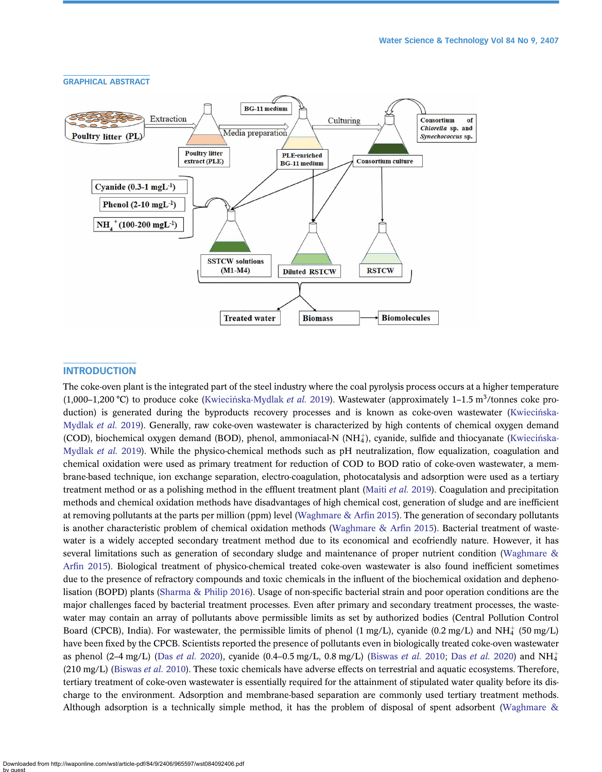

#### **INTRODUCTION**

The coke-oven plant is the integrated part of the steel industry where the coal pyrolysis process occurs at a higher temperature (1,000-1,200 °C) to produce coke (Kwieciń[ska-Mydlak](#page-14-0) et al. 2019). Wastewater (approximately 1-1.5 m<sup>3</sup>/tonnes coke production) is generated during the byproducts recovery processes and is known as coke-oven wastewater (Kwiecińska-[Mydlak](#page-14-0) et al. 2019). Generally, raw coke-oven wastewater is characterized by high contents of chemical oxygen demand (COD), biochemical oxygen demand (BOD), phenol, ammoniacal-N (NH4), cyanide, sulfide and thiocyanate (Kwiecińska-[Mydlak](#page-14-0) et al. 2019). While the physico-chemical methods such as pH neutralization, flow equalization, coagulation and chemical oxidation were used as primary treatment for reduction of COD to BOD ratio of coke-oven wastewater, a membrane-based technique, ion exchange separation, electro-coagulation, photocatalysis and adsorption were used as a tertiary treatment method or as a polishing method in the effluent treatment plant [\(Maiti](#page-14-0) et al. 2019). Coagulation and precipitation methods and chemical oxidation methods have disadvantages of high chemical cost, generation of sludge and are inefficient at removing pollutants at the parts per million (ppm) level [\(Waghmare & Ar](#page-15-0)fin 2015). The generation of secondary pollutants is another characteristic problem of chemical oxidation methods [\(Waghmare & Ar](#page-15-0)fin 2015). Bacterial treatment of wastewater is a widely accepted secondary treatment method due to its economical and ecofriendly nature. However, it has several limitations such as generation of secondary sludge and maintenance of proper nutrient condition ([Waghmare &](#page-15-0) Arfi[n 2015](#page-15-0)). Biological treatment of physico-chemical treated coke-oven wastewater is also found inefficient sometimes due to the presence of refractory compounds and toxic chemicals in the influent of the biochemical oxidation and dephenolisation (BOPD) plants ([Sharma & Philip 2016](#page-15-0)). Usage of non-specific bacterial strain and poor operation conditions are the major challenges faced by bacterial treatment processes. Even after primary and secondary treatment processes, the wastewater may contain an array of pollutants above permissible limits as set by authorized bodies (Central Pollution Control Board (CPCB), India). For wastewater, the permissible limits of phenol  $(1 \text{ mg/L})$ , cyanide  $(0.2 \text{ mg/L})$  and NH $\ddagger$  (50 mg/L) have been fixed by the CPCB. Scientists reported the presence of pollutants even in biologically treated coke-oven wastewater as phenol (2–4 mg/L) (Das *[et al.](#page-14-0)* 2020), cyanide (0.4–0.5 mg/L, 0.8 mg/L) ([Biswas](#page-14-0) *et al.* 2010; Das *et al.* 2020) and NH<sup> $+$ </sup>  $(210 \text{ mg/L})$  [\(Biswas](#page-14-0) *et al.* 2010). These toxic chemicals have adverse effects on terrestrial and aquatic ecosystems. Therefore, tertiary treatment of coke-oven wastewater is essentially required for the attainment of stipulated water quality before its discharge to the environment. Adsorption and membrane-based separation are commonly used tertiary treatment methods. Although adsorption is a technically simple method, it has the problem of disposal of spent adsorbent [\(Waghmare &](#page-15-0)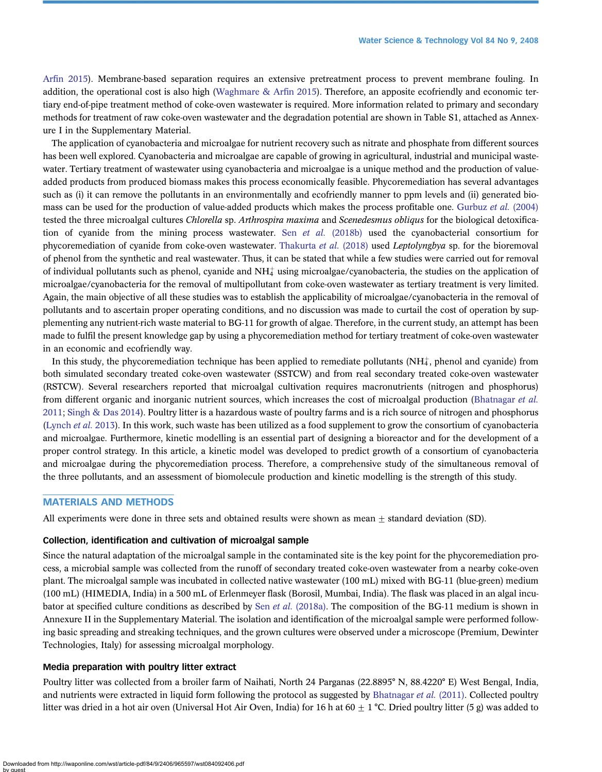Arfi[n 2015](#page-15-0)). Membrane-based separation requires an extensive pretreatment process to prevent membrane fouling. In addition, the operational cost is also high (Waghmare  $\&$  Arfin 2015). Therefore, an apposite ecofriendly and economic tertiary end-of-pipe treatment method of coke-oven wastewater is required. More information related to primary and secondary methods for treatment of raw coke-oven wastewater and the degradation potential are shown in Table S1, attached as Annexure I in the Supplementary Material.

The application of cyanobacteria and microalgae for nutrient recovery such as nitrate and phosphate from different sources has been well explored. Cyanobacteria and microalgae are capable of growing in agricultural, industrial and municipal wastewater. Tertiary treatment of wastewater using cyanobacteria and microalgae is a unique method and the production of valueadded products from produced biomass makes this process economically feasible. Phycoremediation has several advantages such as (i) it can remove the pollutants in an environmentally and ecofriendly manner to ppm levels and (ii) generated bio-mass can be used for the production of value-added products which makes the process profitable one. [Gurbuz](#page-14-0) et al. (2004) tested the three microalgal cultures *Chlorella* sp. Arthrospira maxima and Scenedesmus obliqus for the biological detoxifica-tion of cyanide from the mining process wastewater. Sen et al. [\(2018b\)](#page-15-0) used the cyanobacterial consortium for phycoremediation of cyanide from coke-oven wastewater. [Thakurta](#page-15-0) et al. (2018) used Leptolyngbya sp. for the bioremoval of phenol from the synthetic and real wastewater. Thus, it can be stated that while a few studies were carried out for removal of individual pollutants such as phenol, cyanide and NH $\ddagger$  using microalgae/cyanobacteria, the studies on the application of microalgae/cyanobacteria for the removal of multipollutant from coke-oven wastewater as tertiary treatment is very limited. Again, the main objective of all these studies was to establish the applicability of microalgae/cyanobacteria in the removal of pollutants and to ascertain proper operating conditions, and no discussion was made to curtail the cost of operation by supplementing any nutrient-rich waste material to BG-11 for growth of algae. Therefore, in the current study, an attempt has been made to fulfil the present knowledge gap by using a phycoremediation method for tertiary treatment of coke-oven wastewater in an economic and ecofriendly way.

In this study, the phycoremediation technique has been applied to remediate pollutants (NH $_4^+$ , phenol and cyanide) from both simulated secondary treated coke-oven wastewater (SSTCW) and from real secondary treated coke-oven wastewater (RSTCW). Several researchers reported that microalgal cultivation requires macronutrients (nitrogen and phosphorus) from different organic and inorganic nutrient sources, which increases the cost of microalgal production [\(Bhatnagar](#page-13-0) et al. [2011](#page-13-0); [Singh & Das 2014](#page-15-0)). Poultry litter is a hazardous waste of poultry farms and is a rich source of nitrogen and phosphorus ([Lynch](#page-14-0) et al. 2013). In this work, such waste has been utilized as a food supplement to grow the consortium of cyanobacteria and microalgae. Furthermore, kinetic modelling is an essential part of designing a bioreactor and for the development of a proper control strategy. In this article, a kinetic model was developed to predict growth of a consortium of cyanobacteria and microalgae during the phycoremediation process. Therefore, a comprehensive study of the simultaneous removal of the three pollutants, and an assessment of biomolecule production and kinetic modelling is the strength of this study.

#### MATERIALS AND METHODS

All experiments were done in three sets and obtained results were shown as mean  $\pm$  standard deviation (SD).

#### Collection, identification and cultivation of microalgal sample

Since the natural adaptation of the microalgal sample in the contaminated site is the key point for the phycoremediation process, a microbial sample was collected from the runoff of secondary treated coke-oven wastewater from a nearby coke-oven plant. The microalgal sample was incubated in collected native wastewater (100 mL) mixed with BG-11 (blue-green) medium (100 mL) (HIMEDIA, India) in a 500 mL of Erlenmeyer flask (Borosil, Mumbai, India). The flask was placed in an algal incubator at specified culture conditions as described by Sen et al. [\(2018a\)](#page-15-0). The composition of the BG-11 medium is shown in Annexure II in the Supplementary Material. The isolation and identification of the microalgal sample were performed following basic spreading and streaking techniques, and the grown cultures were observed under a microscope (Premium, Dewinter Technologies, Italy) for assessing microalgal morphology.

#### Media preparation with poultry litter extract

Poultry litter was collected from a broiler farm of Naihati, North 24 Parganas (22.8895° N, 88.4220° E) West Bengal, India, and nutrients were extracted in liquid form following the protocol as suggested by [Bhatnagar](#page-13-0) *et al.* (2011). Collected poultry litter was dried in a hot air oven (Universal Hot Air Oven, India) for 16 h at 60  $\pm$  1 °C. Dried poultry litter (5 g) was added to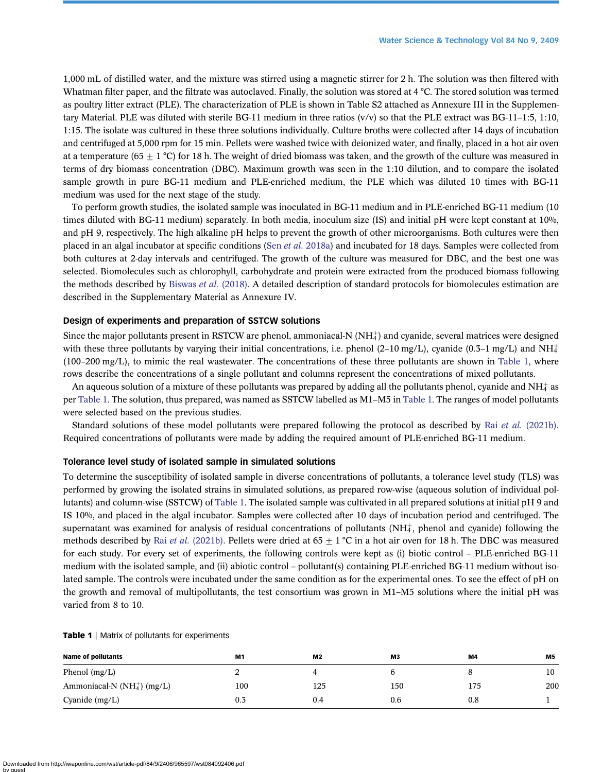1,000 mL of distilled water, and the mixture was stirred using a magnetic stirrer for 2 h. The solution was then filtered with Whatman filter paper, and the filtrate was autoclaved. Finally, the solution was stored at 4 °C. The stored solution was termed as poultry litter extract (PLE). The characterization of PLE is shown in Table S2 attached as Annexure III in the Supplementary Material. PLE was diluted with sterile BG-11 medium in three ratios  $(v/v)$  so that the PLE extract was BG-11–1:5, 1:10, 1:15. The isolate was cultured in these three solutions individually. Culture broths were collected after 14 days of incubation and centrifuged at 5,000 rpm for 15 min. Pellets were washed twice with deionized water, and finally, placed in a hot air oven at a temperature (65  $\pm$  1 °C) for 18 h. The weight of dried biomass was taken, and the growth of the culture was measured in terms of dry biomass concentration (DBC). Maximum growth was seen in the 1:10 dilution, and to compare the isolated sample growth in pure BG-11 medium and PLE-enriched medium, the PLE which was diluted 10 times with BG-11 medium was used for the next stage of the study.

To perform growth studies, the isolated sample was inoculated in BG-11 medium and in PLE-enriched BG-11 medium (10 times diluted with BG-11 medium) separately. In both media, inoculum size (IS) and initial pH were kept constant at 10%, and pH 9, respectively. The high alkaline pH helps to prevent the growth of other microorganisms. Both cultures were then placed in an algal incubator at specific conditions (Sen et al. [2018a](#page-15-0)) and incubated for 18 days. Samples were collected from both cultures at 2-day intervals and centrifuged. The growth of the culture was measured for DBC, and the best one was selected. Biomolecules such as chlorophyll, carbohydrate and protein were extracted from the produced biomass following the methods described by [Biswas](#page-14-0) *et al.* (2018). A detailed description of standard protocols for biomolecules estimation are described in the Supplementary Material as Annexure IV.

#### Design of experiments and preparation of SSTCW solutions

Since the major pollutants present in RSTCW are phenol, ammoniacal-N (NH $_4^{\rm +}$ ) and cyanide, several matrices were designed with these three pollutants by varying their initial concentrations, i.e. phenol (2–10 mg/L), cyanide (0.3–1 mg/L) and NH $\ddagger$ (100–200 mg/L), to mimic the real wastewater. The concentrations of these three pollutants are shown in Table 1, where rows describe the concentrations of a single pollutant and columns represent the concentrations of mixed pollutants.

An aqueous solution of a mixture of these pollutants was prepared by adding all the pollutants phenol, cyanide and NH $\ddagger$  as per Table 1. The solution, thus prepared, was named as SSTCW labelled as M1–M5 in Table 1. The ranges of model pollutants were selected based on the previous studies.

Standard solutions of these model pollutants were prepared following the protocol as described by Rai et al. [\(2021b\).](#page-14-0) Required concentrations of pollutants were made by adding the required amount of PLE-enriched BG-11 medium.

#### Tolerance level study of isolated sample in simulated solutions

To determine the susceptibility of isolated sample in diverse concentrations of pollutants, a tolerance level study (TLS) was performed by growing the isolated strains in simulated solutions, as prepared row-wise (aqueous solution of individual pollutants) and column-wise (SSTCW) of Table 1. The isolated sample was cultivated in all prepared solutions at initial pH 9 and IS 10%, and placed in the algal incubator. Samples were collected after 10 days of incubation period and centrifuged. The supernatant was examined for analysis of residual concentrations of pollutants (NH $\ddagger$ , phenol and cyanide) following the methods described by Rai *et al.* [\(2021b\).](#page-14-0) Pellets were dried at  $65 + 1$  °C in a hot air oven for 18 h. The DBC was measured for each study. For every set of experiments, the following controls were kept as (i) biotic control – PLE-enriched BG-11 medium with the isolated sample, and (ii) abiotic control – pollutant(s) containing PLE-enriched BG-11 medium without isolated sample. The controls were incubated under the same condition as for the experimental ones. To see the effect of pH on the growth and removal of multipollutants, the test consortium was grown in M1–M5 solutions where the initial pH was varied from 8 to 10.

| <b>Name of pollutants</b>        | M1  | M <sub>2</sub> | M3  | M4       | M5  |
|----------------------------------|-----|----------------|-----|----------|-----|
| Phenol $(mg/L)$                  |     |                | b   |          | 10  |
| Ammoniacal-N (NH $_4^+$ ) (mg/L) | 100 | 125            | 150 | 175      | 200 |
| Cyanide (mg/L)                   | 0.3 | 0.4            | 0.6 | $_{0.8}$ |     |

#### Table 1 | Matrix of pollutants for experiments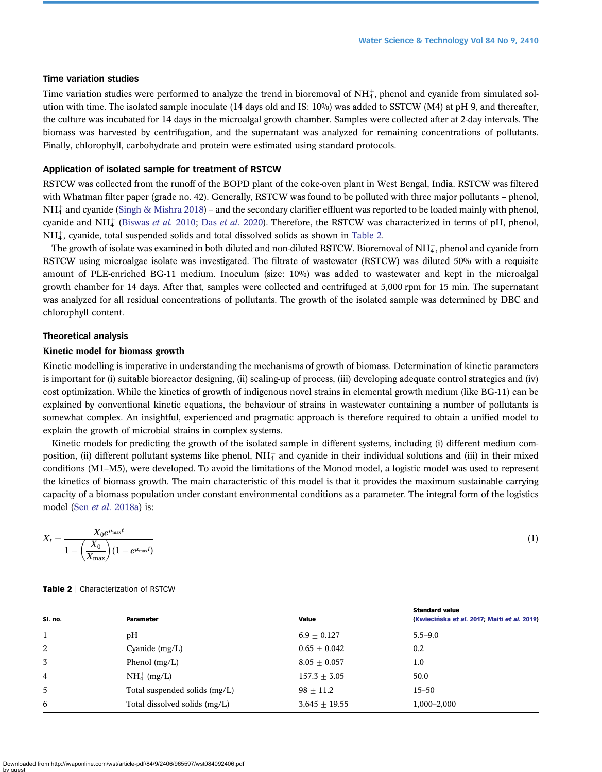#### Time variation studies

Time variation studies were performed to analyze the trend in bioremoval of NH $_4^*$ , phenol and cyanide from simulated solution with time. The isolated sample inoculate (14 days old and IS: 10%) was added to SSTCW (M4) at pH 9, and thereafter, the culture was incubated for 14 days in the microalgal growth chamber. Samples were collected after at 2-day intervals. The biomass was harvested by centrifugation, and the supernatant was analyzed for remaining concentrations of pollutants. Finally, chlorophyll, carbohydrate and protein were estimated using standard protocols.

#### Application of isolated sample for treatment of RSTCW

RSTCW was collected from the runoff of the BOPD plant of the coke-oven plant in West Bengal, India. RSTCW was filtered with Whatman filter paper (grade no. 42). Generally, RSTCW was found to be polluted with three major pollutants – phenol,  $NH_4^+$  and cyanide [\(Singh & Mishra 2018](#page-15-0)) – and the secondary clarifier effluent was reported to be loaded mainly with phenol, cyanide and NH<sub>4</sub> [\(Biswas](#page-14-0) *[et al.](#page-14-0)* 2010; Das *et al.* 2020). Therefore, the RSTCW was characterized in terms of pH, phenol,  $NH<sub>4</sub>$ , cyanide, total suspended solids and total dissolved solids as shown in Table 2.

The growth of isolate was examined in both diluted and non-diluted RSTCW. Bioremoval of NH $_4^{\ast}$ , phenol and cyanide from RSTCW using microalgae isolate was investigated. The filtrate of wastewater (RSTCW) was diluted 50% with a requisite amount of PLE-enriched BG-11 medium. Inoculum (size: 10%) was added to wastewater and kept in the microalgal growth chamber for 14 days. After that, samples were collected and centrifuged at 5,000 rpm for 15 min. The supernatant was analyzed for all residual concentrations of pollutants. The growth of the isolated sample was determined by DBC and chlorophyll content.

#### Theoretical analysis

#### Kinetic model for biomass growth

Kinetic modelling is imperative in understanding the mechanisms of growth of biomass. Determination of kinetic parameters is important for (i) suitable bioreactor designing, (ii) scaling-up of process, (iii) developing adequate control strategies and (iv) cost optimization. While the kinetics of growth of indigenous novel strains in elemental growth medium (like BG-11) can be explained by conventional kinetic equations, the behaviour of strains in wastewater containing a number of pollutants is somewhat complex. An insightful, experienced and pragmatic approach is therefore required to obtain a unified model to explain the growth of microbial strains in complex systems.

Kinetic models for predicting the growth of the isolated sample in different systems, including (i) different medium composition, (ii) different pollutant systems like phenol, NH $_4^+$  and cyanide in their individual solutions and (iii) in their mixed conditions (M1–M5), were developed. To avoid the limitations of the Monod model, a logistic model was used to represent the kinetics of biomass growth. The main characteristic of this model is that it provides the maximum sustainable carrying capacity of a biomass population under constant environmental conditions as a parameter. The integral form of the logistics model (Sen *et al.* [2018a\)](#page-15-0) is:

$$
X_t = \frac{X_0 e^{\mu_{\text{max}}t}}{1 - \left(\frac{X_0}{X_{\text{max}}}\right)(1 - e^{\mu_{\text{max}}t})}
$$
(1)

|  |  | <b>Table 2</b>   Characterization of RSTCW |  |  |
|--|--|--------------------------------------------|--|--|
|--|--|--------------------------------------------|--|--|

| SI. no.        | Parameter                     | Value             | <b>Standard value</b><br>(Kwiecińska et al. 2017; Maiti et al. 2019) |
|----------------|-------------------------------|-------------------|----------------------------------------------------------------------|
|                | pH                            | $6.9 + 0.127$     | $5.5 - 9.0$                                                          |
| 2              | Cyanide $(mg/L)$              | $0.65 + 0.042$    | 0.2                                                                  |
| 3              | Phenol $(mg/L)$               | $8.05 \pm 0.057$  | 1.0                                                                  |
| $\overline{4}$ | $NH4+ (mg/L)$                 | $157.3 \pm 3.05$  | 50.0                                                                 |
| 5              | Total suspended solids (mg/L) | $98 + 11.2$       | $15 - 50$                                                            |
| 6              | Total dissolved solids (mg/L) | $3,645 \pm 19.55$ | 1,000-2,000                                                          |

Downloaded from http://iwaponline.com/wst/article-pdf/84/9/2406/965597/wst084092406.pdf by guest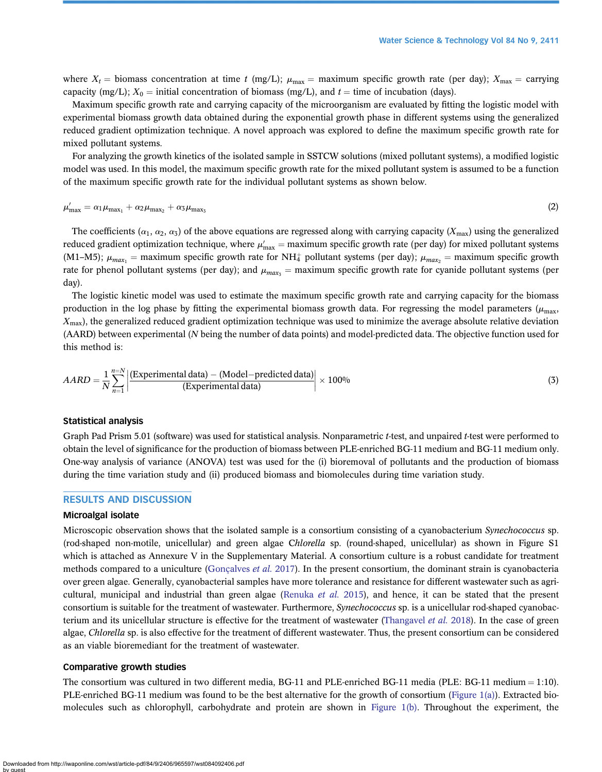where  $X_t$  = biomass concentration at time t (mg/L);  $\mu_{\text{max}}$  = maximum specific growth rate (per day);  $X_{\text{max}}$  = carrying capacity (mg/L);  $X_0 =$  initial concentration of biomass (mg/L), and  $t =$  time of incubation (days).

Maximum specific growth rate and carrying capacity of the microorganism are evaluated by fitting the logistic model with experimental biomass growth data obtained during the exponential growth phase in different systems using the generalized reduced gradient optimization technique. A novel approach was explored to define the maximum specific growth rate for mixed pollutant systems.

For analyzing the growth kinetics of the isolated sample in SSTCW solutions (mixed pollutant systems), a modified logistic model was used. In this model, the maximum specific growth rate for the mixed pollutant system is assumed to be a function of the maximum specific growth rate for the individual pollutant systems as shown below.

$$
\mu'_{\text{max}} = \alpha_1 \mu_{\text{max}_1} + \alpha_2 \mu_{\text{max}_2} + \alpha_3 \mu_{\text{max}_3} \tag{2}
$$

The coefficients ( $\alpha_1, \alpha_2, \alpha_3$ ) of the above equations are regressed along with carrying capacity ( $X_{\text{max}}$ ) using the generalized reduced gradient optimization technique, where  $\mu'_{\max}$  = maximum specific growth rate (per day) for mixed pollutant systems (M1–M5);  $\mu_{max_1}$  = maximum specific growth rate for NH<sub>4</sub><sup>+</sup> pollutant systems (per day);  $\mu_{max_2}$  = maximum specific growth rate for phenol pollutant systems (per day); and  $\mu_{max}$  = maximum specific growth rate for cyanide pollutant systems (per day).

The logistic kinetic model was used to estimate the maximum specific growth rate and carrying capacity for the biomass production in the log phase by fitting the experimental biomass growth data. For regressing the model parameters ( $\mu_{\rm max}$ ,  $X_{\text{max}}$ ), the generalized reduced gradient optimization technique was used to minimize the average absolute relative deviation (AARD) between experimental (N being the number of data points) and model-predicted data. The objective function used for this method is:

$$
AARD = \frac{1}{N} \sum_{n=1}^{n=N} \left| \frac{(\text{Experimental data}) - (\text{Model-predicted data})}{(\text{Experimental data})} \right| \times 100\% \tag{3}
$$

#### Statistical analysis

Graph Pad Prism 5.01 (software) was used for statistical analysis. Nonparametric *t*-test, and unpaired *t*-test were performed to obtain the level of significance for the production of biomass between PLE-enriched BG-11 medium and BG-11 medium only. One-way analysis of variance (ANOVA) test was used for the (i) bioremoval of pollutants and the production of biomass during the time variation study and (ii) produced biomass and biomolecules during time variation study.

#### RESULTS AND DISCUSSION

#### Microalgal isolate

Microscopic observation shows that the isolated sample is a consortium consisting of a cyanobacterium Synechococcus sp. (rod-shaped non-motile, unicellular) and green algae Chlorella sp. (round-shaped, unicellular) as shown in Figure S1 which is attached as Annexure V in the Supplementary Material. A consortium culture is a robust candidate for treatment methods compared to a uniculture [\(Gonçalves](#page-14-0) et al. 2017). In the present consortium, the dominant strain is cyanobacteria over green algae. Generally, cyanobacterial samples have more tolerance and resistance for different wastewater such as agri-cultural, municipal and industrial than green algae ([Renuka](#page-14-0) *et al.* 2015), and hence, it can be stated that the present consortium is suitable for the treatment of wastewater. Furthermore, Synechococcus sp. is a unicellular rod-shaped cyanobac-terium and its unicellular structure is effective for the treatment of wastewater [\(Thangavel](#page-15-0) et al. 2018). In the case of green algae, Chlorella sp. is also effective for the treatment of different wastewater. Thus, the present consortium can be considered as an viable bioremediant for the treatment of wastewater.

#### Comparative growth studies

The consortium was cultured in two different media, BG-11 and PLE-enriched BG-11 media (PLE: BG-11 medium  $= 1:10$ ). PLE-enriched BG-11 medium was found to be the best alternative for the growth of consortium [\(Figure 1\(a\)](#page-6-0)). Extracted biomolecules such as chlorophyll, carbohydrate and protein are shown in [Figure 1\(b\).](#page-6-0) Throughout the experiment, the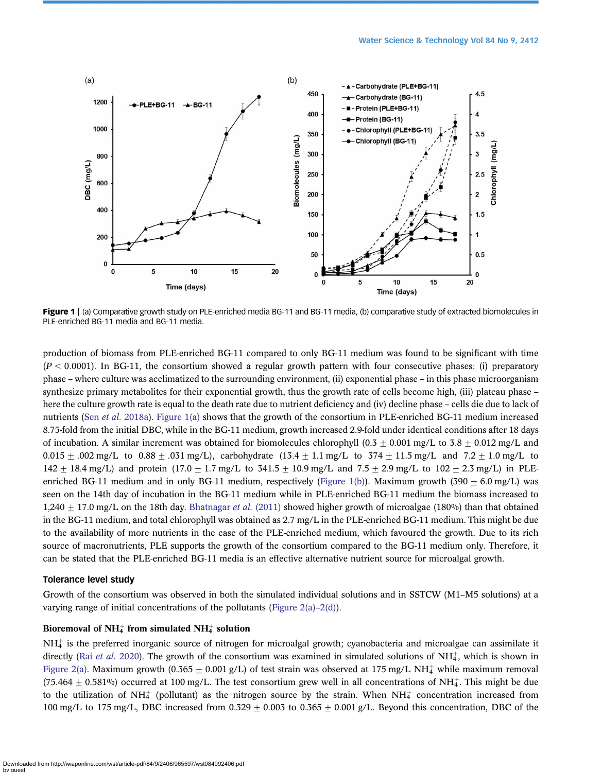<span id="page-6-0"></span>

Figure 1 | (a) Comparative growth study on PLE-enriched media BG-11 and BG-11 media, (b) comparative study of extracted biomolecules in PLE-enriched BG-11 media and BG-11 media.

production of biomass from PLE-enriched BG-11 compared to only BG-11 medium was found to be significant with time  $(P < 0.0001)$ . In BG-11, the consortium showed a regular growth pattern with four consecutive phases: (i) preparatory phase – where culture was acclimatized to the surrounding environment, (ii) exponential phase – in this phase microorganism synthesize primary metabolites for their exponential growth, thus the growth rate of cells become high, (iii) plateau phase – here the culture growth rate is equal to the death rate due to nutrient deficiency and (iv) decline phase – cells die due to lack of nutrients (Sen et al. [2018a](#page-15-0)). Figure 1(a) shows that the growth of the consortium in PLE-enriched BG-11 medium increased 8.75-fold from the initial DBC, while in the BG-11 medium, growth increased 2.9-fold under identical conditions after 18 days of incubation. A similar increment was obtained for biomolecules chlorophyll (0.3  $\pm$  0.001 mg/L to 3.8  $\pm$  0.012 mg/L and 0.015  $\pm$  .002 mg/L to 0.88  $\pm$  .031 mg/L), carbohydrate (13.4  $\pm$  1.1 mg/L to 374  $\pm$  11.5 mg/L and 7.2  $\pm$  1.0 mg/L to 142  $\pm$  18.4 mg/L) and protein (17.0  $\pm$  1.7 mg/L to 341.5  $\pm$  10.9 mg/L and 7.5  $\pm$  2.9 mg/L to 102  $\pm$  2.3 mg/L) in PLEenriched BG-11 medium and in only BG-11 medium, respectively (Figure 1(b)). Maximum growth (390  $\pm$  6.0 mg/L) was seen on the 14th day of incubation in the BG-11 medium while in PLE-enriched BG-11 medium the biomass increased to 1,240  $\pm$  17.0 mg/L on the 18th day. [Bhatnagar](#page-13-0) *et al.* (2011) showed higher growth of microalgae (180%) than that obtained in the BG-11 medium, and total chlorophyll was obtained as 2.7 mg/L in the PLE-enriched BG-11 medium. This might be due to the availability of more nutrients in the case of the PLE-enriched medium, which favoured the growth. Due to its rich source of macronutrients, PLE supports the growth of the consortium compared to the BG-11 medium only. Therefore, it can be stated that the PLE-enriched BG-11 media is an effective alternative nutrient source for microalgal growth.

#### Tolerance level study

Growth of the consortium was observed in both the simulated individual solutions and in SSTCW (M1–M5 solutions) at a varying range of initial concentrations of the pollutants [\(Figure 2\(a\)](#page-7-0)–[2\(d\)](#page-7-0)).

#### Bioremoval of NH<sup> $+$ </sup> from simulated NH<sup> $+$ </sup> solution

 $NH_4^+$  is the preferred inorganic source of nitrogen for microalgal growth; cyanobacteria and microalgae can assimilate it directly (Rai *[et al.](#page-14-0)* 2020). The growth of the consortium was examined in simulated solutions of  $NH<sub>4</sub>$ , which is shown in [Figure 2\(a\)](#page-7-0). Maximum growth (0.365  $\pm$  0.001 g/L) of test strain was observed at 175 mg/L NH<sup> $+$ </sup> while maximum removal (75.464  $\pm$  0.581%) occurred at 100 mg/L. The test consortium grew well in all concentrations of NH<sub>4</sub>. This might be due to the utilization of NH $_4^+$  (pollutant) as the nitrogen source by the strain. When NH $_4^+$  concentration increased from 100 mg/L to 175 mg/L, DBC increased from 0.329  $\pm$  0.003 to 0.365  $\pm$  0.001 g/L. Beyond this concentration, DBC of the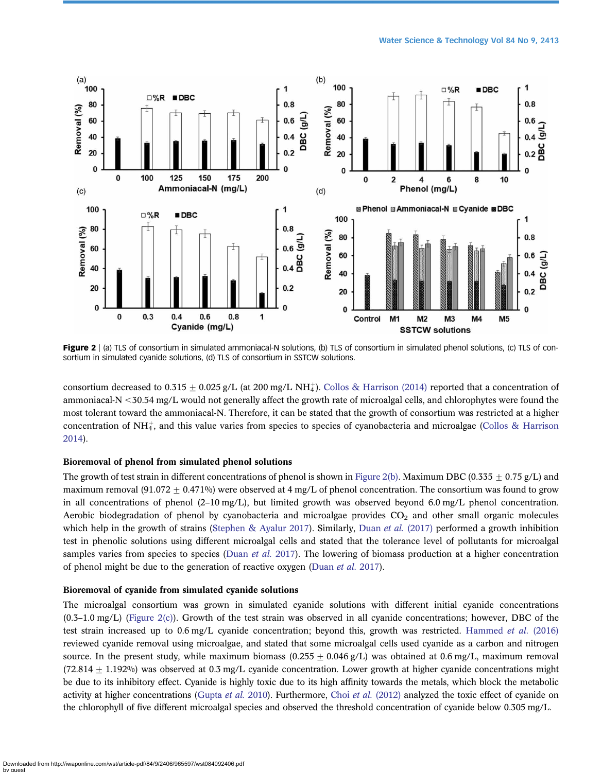<span id="page-7-0"></span>

Figure 2 | (a) TLS of consortium in simulated ammoniacal-N solutions, (b) TLS of consortium in simulated phenol solutions, (c) TLS of consortium in simulated cyanide solutions, (d) TLS of consortium in SSTCW solutions.

consortium decreased to  $0.315 \pm 0.025$  g/L (at 200 mg/L NH<sub>4</sub>). [Collos & Harrison \(2014\)](#page-14-0) reported that a concentration of ammoniacal-N <30.54 mg/L would not generally affect the growth rate of microalgal cells, and chlorophytes were found the most tolerant toward the ammoniacal-N. Therefore, it can be stated that the growth of consortium was restricted at a higher concentration of NH $\ddagger$ , and this value varies from species to species of cyanobacteria and microalgae ([Collos & Harrison](#page-14-0) [2014\)](#page-14-0).

#### Bioremoval of phenol from simulated phenol solutions

The growth of test strain in different concentrations of phenol is shown in Figure 2(b). Maximum DBC (0.335 + 0.75 g/L) and maximum removal (91.072  $\pm$  0.471%) were observed at 4 mg/L of phenol concentration. The consortium was found to grow in all concentrations of phenol (2–10 mg/L), but limited growth was observed beyond 6.0 mg/L phenol concentration. Aerobic biodegradation of phenol by cyanobacteria and microalgae provides  $CO<sub>2</sub>$  and other small organic molecules which help in the growth of strains [\(Stephen & Ayalur 2017](#page-15-0)). Similarly, Duan et al. [\(2017\)](#page-14-0) performed a growth inhibition test in phenolic solutions using different microalgal cells and stated that the tolerance level of pollutants for microalgal samples varies from species to species ([Duan](#page-14-0) et al. 2017). The lowering of biomass production at a higher concentration of phenol might be due to the generation of reactive oxygen ([Duan](#page-14-0) *et al.* 2017).

#### Bioremoval of cyanide from simulated cyanide solutions

The microalgal consortium was grown in simulated cyanide solutions with different initial cyanide concentrations (0.3–1.0 mg/L) (Figure 2(c)). Growth of the test strain was observed in all cyanide concentrations; however, DBC of the test strain increased up to 0.6 mg/L cyanide concentration; beyond this, growth was restricted. [Hammed](#page-14-0) et al. (2016) reviewed cyanide removal using microalgae, and stated that some microalgal cells used cyanide as a carbon and nitrogen source. In the present study, while maximum biomass ( $0.255 \pm 0.046$  g/L) was obtained at 0.6 mg/L, maximum removal  $(72.814 + 1.192\%)$  was observed at 0.3 mg/L cyanide concentration. Lower growth at higher cyanide concentrations might be due to its inhibitory effect. Cyanide is highly toxic due to its high affinity towards the metals, which block the metabolic activity at higher concentrations ([Gupta](#page-14-0) et al. 2010). Furthermore, Choi et al. [\(2012\)](#page-14-0) analyzed the toxic effect of cyanide on the chlorophyll of five different microalgal species and observed the threshold concentration of cyanide below 0.305 mg/L.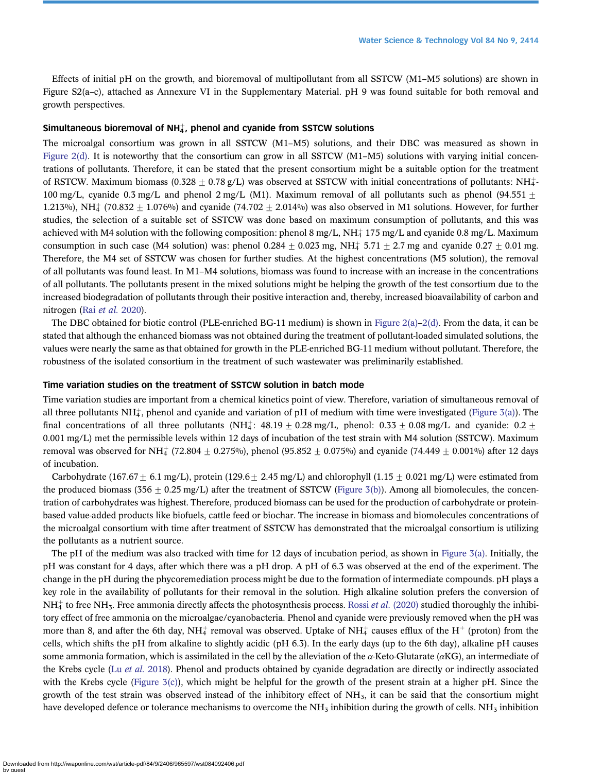Effects of initial pH on the growth, and bioremoval of multipollutant from all SSTCW (M1–M5 solutions) are shown in Figure S2(a–c), attached as Annexure VI in the Supplementary Material. pH 9 was found suitable for both removal and growth perspectives.

#### Simultaneous bioremoval of NH $_4^+$ , phenol and cyanide from SSTCW solutions

The microalgal consortium was grown in all SSTCW (M1–M5) solutions, and their DBC was measured as shown in [Figure 2\(d\).](#page-7-0) It is noteworthy that the consortium can grow in all SSTCW  $(M1-M5)$  solutions with varying initial concentrations of pollutants. Therefore, it can be stated that the present consortium might be a suitable option for the treatment of RSTCW. Maximum biomass (0.328  $\pm$  0.78 g/L) was observed at SSTCW with initial concentrations of pollutants: NH $\ddagger$ -100 mg/L, cyanide 0.3 mg/L and phenol 2 mg/L (M1). Maximum removal of all pollutants such as phenol (94.551  $\pm$ 1.213%), NH<sub>4</sub> (70.832  $\pm$  1.076%) and cyanide (74.702  $\pm$  2.014%) was also observed in M1 solutions. However, for further studies, the selection of a suitable set of SSTCW was done based on maximum consumption of pollutants, and this was achieved with M4 solution with the following composition: phenol 8 mg/L, NH $\ddagger$  175 mg/L and cyanide 0.8 mg/L. Maximum consumption in such case (M4 solution) was: phenol  $0.284 \pm 0.023$  mg, NH $_4$  5.71  $\pm$  2.7 mg and cyanide 0.27  $\pm$  0.01 mg. Therefore, the M4 set of SSTCW was chosen for further studies. At the highest concentrations (M5 solution), the removal of all pollutants was found least. In M1–M4 solutions, biomass was found to increase with an increase in the concentrations of all pollutants. The pollutants present in the mixed solutions might be helping the growth of the test consortium due to the increased biodegradation of pollutants through their positive interaction and, thereby, increased bioavailability of carbon and nitrogen (Rai [et al.](#page-14-0) 2020).

The DBC obtained for biotic control (PLE-enriched BG-11 medium) is shown in [Figure 2\(a\)](#page-7-0)–[2\(d\)](#page-7-0). From the data, it can be stated that although the enhanced biomass was not obtained during the treatment of pollutant-loaded simulated solutions, the values were nearly the same as that obtained for growth in the PLE-enriched BG-11 medium without pollutant. Therefore, the robustness of the isolated consortium in the treatment of such wastewater was preliminarily established.

#### Time variation studies on the treatment of SSTCW solution in batch mode

Time variation studies are important from a chemical kinetics point of view. Therefore, variation of simultaneous removal of all three pollutants NH $_4^+$ , phenol and cyanide and variation of pH of medium with time were investigated ([Figure 3\(a\)\)](#page-9-0). The final concentrations of all three pollutants (NH<sup> $_4$ </sup>: 48.19  $\pm$  0.28 mg/L, phenol: 0.33  $\pm$  0.08 mg/L and cyanide: 0.2  $\pm$ 0.001 mg/L) met the permissible levels within 12 days of incubation of the test strain with M4 solution (SSTCW). Maximum removal was observed for NH $_4^+$  (72.804  $\pm$  0.275%), phenol (95.852  $\pm$  0.075%) and cyanide (74.449  $\pm$  0.001%) after 12 days of incubation.

Carbohydrate (167.67 + 6.1 mg/L), protein (129.6 + 2.45 mg/L) and chlorophyll (1.15 + 0.021 mg/L) were estimated from the produced biomass (356  $\pm$  0.25 mg/L) after the treatment of SSTCW ([Figure 3\(b\)](#page-9-0)). Among all biomolecules, the concentration of carbohydrates was highest. Therefore, produced biomass can be used for the production of carbohydrate or proteinbased value-added products like biofuels, cattle feed or biochar. The increase in biomass and biomolecules concentrations of the microalgal consortium with time after treatment of SSTCW has demonstrated that the microalgal consortium is utilizing the pollutants as a nutrient source.

The pH of the medium was also tracked with time for 12 days of incubation period, as shown in [Figure 3\(a\)](#page-9-0). Initially, the pH was constant for 4 days, after which there was a pH drop. A pH of 6.3 was observed at the end of the experiment. The change in the pH during the phycoremediation process might be due to the formation of intermediate compounds. pH plays a key role in the availability of pollutants for their removal in the solution. High alkaline solution prefers the conversion of  $NH<sub>4</sub><sup>+</sup>$  to free NH<sub>3</sub>. Free ammonia directly affects the photosynthesis process. Rossi *et al.* [\(2020\)](#page-15-0) studied thoroughly the inhibitory effect of free ammonia on the microalgae/cyanobacteria. Phenol and cyanide were previously removed when the pH was more than 8, and after the 6th day, NH $_4^+$  removal was observed. Uptake of NH $_4^+$  causes efflux of the H $^+$  (proton) from the cells, which shifts the pH from alkaline to slightly acidic (pH 6.3). In the early days (up to the 6th day), alkaline pH causes some ammonia formation, which is assimilated in the cell by the alleviation of the  $\alpha$ -Keto-Glutarate ( $\alpha$ KG), an intermediate of the Krebs cycle (Lu et al. [2018\)](#page-14-0). Phenol and products obtained by cyanide degradation are directly or indirectly associated with the Krebs cycle (Figure  $3(c)$ ), which might be helpful for the growth of the present strain at a higher pH. Since the growth of the test strain was observed instead of the inhibitory effect of  $NH<sub>3</sub>$ , it can be said that the consortium might have developed defence or tolerance mechanisms to overcome the  $NH<sub>3</sub>$  inhibition during the growth of cells.  $NH<sub>3</sub>$  inhibition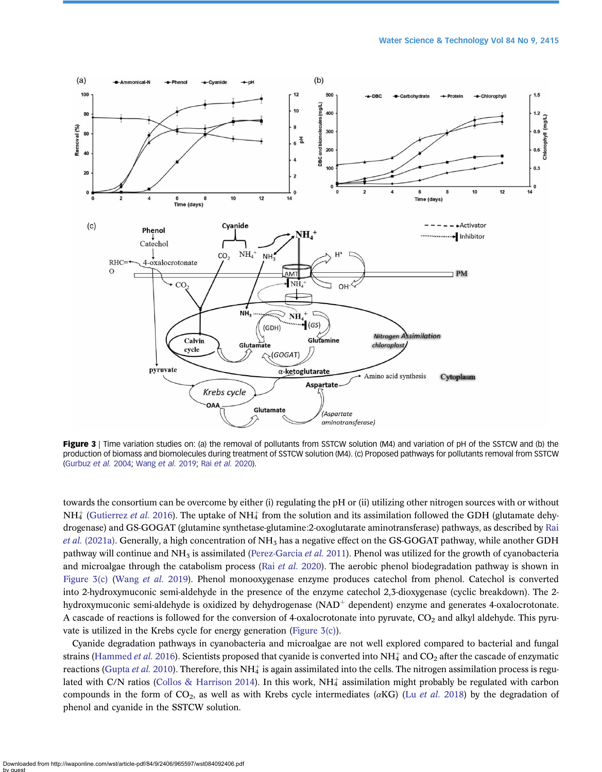<span id="page-9-0"></span>

Figure 3 | Time variation studies on: (a) the removal of pollutants from SSTCW solution (M4) and variation of pH of the SSTCW and (b) the production of biomass and biomolecules during treatment of SSTCW solution (M4). (c) Proposed pathways for pollutants removal from SSTCW [\(Gurbuz](#page-14-0) et al. 2004; [Wang](#page-15-0) et al. 2019; Rai [et al.](#page-14-0) 2020).

towards the consortium can be overcome by either (i) regulating the pH or (ii) utilizing other nitrogen sources with or without  $NH_4^+$  ([Gutierrez](#page-14-0) *et al.* 2016). The uptake of NH<sub>4</sub> from the solution and its assimilation followed the GDH (glutamate dehydrogenase) and GS-GOGAT (glutamine synthetase-glutamine:2-oxoglutarate aminotransferase) pathways, as described by [Rai](#page-14-0) *et al.* [\(2021a\)](#page-14-0). Generally, a high concentration of  $NH<sub>3</sub>$  has a negative effect on the GS-GOGAT pathway, while another GDH pathway will continue and NH<sub>3</sub> is assimilated [\(Perez-Garcia](#page-14-0) et al. 2011). Phenol was utilized for the growth of cyanobacteria and microalgae through the catabolism process (Rai *[et al.](#page-14-0)* 2020). The aerobic phenol biodegradation pathway is shown in Figure 3(c) ([Wang](#page-15-0) et al. 2019). Phenol monooxygenase enzyme produces catechol from phenol. Catechol is converted into 2-hydroxymuconic semi-aldehyde in the presence of the enzyme catechol 2,3-dioxygenase (cyclic breakdown). The 2 hydroxymuconic semi-aldehyde is oxidized by dehydrogenase  $(NAD<sup>+</sup>$  dependent) enzyme and generates 4-oxalocrotonate. A cascade of reactions is followed for the conversion of 4-oxalocrotonate into pyruvate,  $CO_2$  and alkyl aldehyde. This pyruvate is utilized in the Krebs cycle for energy generation (Figure 3(c)).

Cyanide degradation pathways in cyanobacteria and microalgae are not well explored compared to bacterial and fungal strains ([Hammed](#page-14-0) *et al.* 2016). Scientists proposed that cyanide is converted into NH $_4^+$  and CO<sub>2</sub> after the cascade of enzymatic reactions [\(Gupta](#page-14-0) *et al.* 2010). Therefore, this NH $_4^+$  is again assimilated into the cells. The nitrogen assimilation process is regu-lated with C/N ratios [\(Collos & Harrison 2014\)](#page-14-0). In this work, NH $_4^+$  assimilation might probably be regulated with carbon compounds in the form of  $CO_2$ , as well as with Krebs cycle intermediates ( $\alpha$ KG) (Lu *[et al.](#page-14-0)* 2018) by the degradation of phenol and cyanide in the SSTCW solution.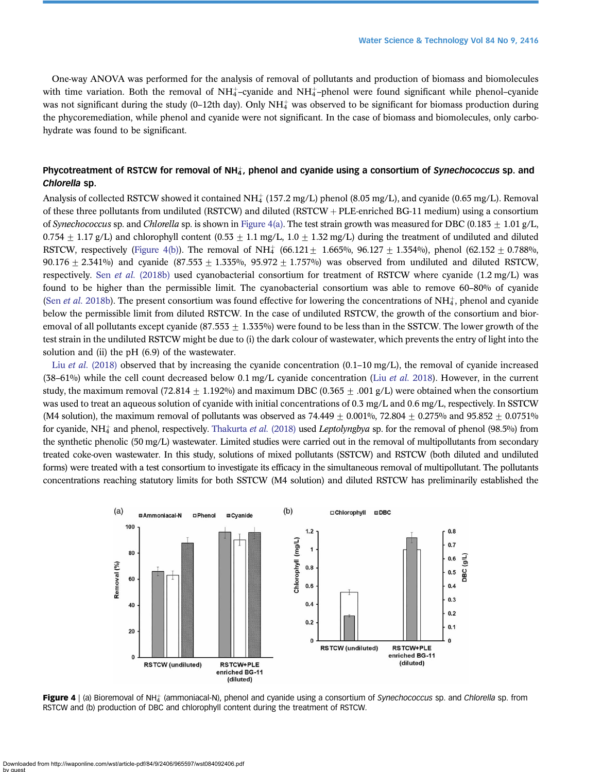One-way ANOVA was performed for the analysis of removal of pollutants and production of biomass and biomolecules with time variation. Both the removal of  $NH_4^+$ -cyanide and  $NH_4^+$ -phenol were found significant while phenol-cyanide was not significant during the study (0-12th day). Only NH $_4^+$  was observed to be significant for biomass production during the phycoremediation, while phenol and cyanide were not significant. In the case of biomass and biomolecules, only carbohydrate was found to be significant.

#### Phycotreatment of RSTCW for removal of NH $_4^{\ast}$ , phenol and cyanide using a consortium of *Synechococcus* sp. and Chlorella sp.

Analysis of collected RSTCW showed it contained  $NH_4^+(157.2~\text{mg/L})$  phenol (8.05 mg/L), and cyanide (0.65 mg/L). Removal of these three pollutants from undiluted (RSTCW) and diluted (RSTCW + PLE-enriched BG-11 medium) using a consortium of Synechococcus sp. and Chlorella sp. is shown in Figure 4(a). The test strain growth was measured for DBC (0.183 + 1.01 g/L, 0.754  $\pm$  1.17 g/L) and chlorophyll content (0.53  $\pm$  1.1 mg/L, 1.0  $\pm$  1.32 mg/L) during the treatment of undiluted and diluted RSTCW, respectively (Figure 4(b)). The removal of NH<sub>4</sub> (66.121  $\pm$  1.665%, 96.127  $\pm$  1.354%), phenol (62.152  $\pm$  0.788%, 90.176  $\pm$  2.341%) and cyanide (87.553  $\pm$  1.355%, 95.972  $\pm$  1.757%) was observed from undiluted and diluted RSTCW, respectively. Sen et al. [\(2018b\)](#page-15-0) used cyanobacterial consortium for treatment of RSTCW where cyanide (1.2 mg/L) was found to be higher than the permissible limit. The cyanobacterial consortium was able to remove 60–80% of cyanide (Sen *et al.* [2018b\)](#page-15-0). The present consortium was found effective for lowering the concentrations of  $NH_4^*$ , phenol and cyanide below the permissible limit from diluted RSTCW. In the case of undiluted RSTCW, the growth of the consortium and bioremoval of all pollutants except cyanide  $(87.553 + 1.335\%)$  were found to be less than in the SSTCW. The lower growth of the test strain in the undiluted RSTCW might be due to (i) the dark colour of wastewater, which prevents the entry of light into the solution and (ii) the pH (6.9) of the wastewater.

Liu et al. [\(2018\)](#page-14-0) observed that by increasing the cyanide concentration  $(0.1-10 \text{ mg/L})$ , the removal of cyanide increased (38–61%) while the cell count decreased below 0.1 mg/L cyanide concentration (Liu *[et al.](#page-14-0)* 2018). However, in the current study, the maximum removal (72.814  $\pm$  1.192%) and maximum DBC (0.365  $\pm$  .001 g/L) were obtained when the consortium was used to treat an aqueous solution of cyanide with initial concentrations of 0.3 mg/L and 0.6 mg/L, respectively. In SSTCW (M4 solution), the maximum removal of pollutants was observed as  $74.449 + 0.001\%$ ,  $72.804 + 0.275\%$  and  $95.852 + 0.0751\%$ for cyanide, NH<sub>4</sub> and phenol, respectively. [Thakurta](#page-15-0) *et al.* (2018) used *Leptolyngbya* sp. for the removal of phenol (98.5%) from the synthetic phenolic (50 mg/L) wastewater. Limited studies were carried out in the removal of multipollutants from secondary treated coke-oven wastewater. In this study, solutions of mixed pollutants (SSTCW) and RSTCW (both diluted and undiluted forms) were treated with a test consortium to investigate its efficacy in the simultaneous removal of multipollutant. The pollutants concentrations reaching statutory limits for both SSTCW (M4 solution) and diluted RSTCW has preliminarily established the



Figure 4 | (a) Bioremoval of NH $_4^+$  (ammoniacal-N), phenol and cyanide using a consortium of Synechococcus sp. and Chlorella sp. from RSTCW and (b) production of DBC and chlorophyll content during the treatment of RSTCW.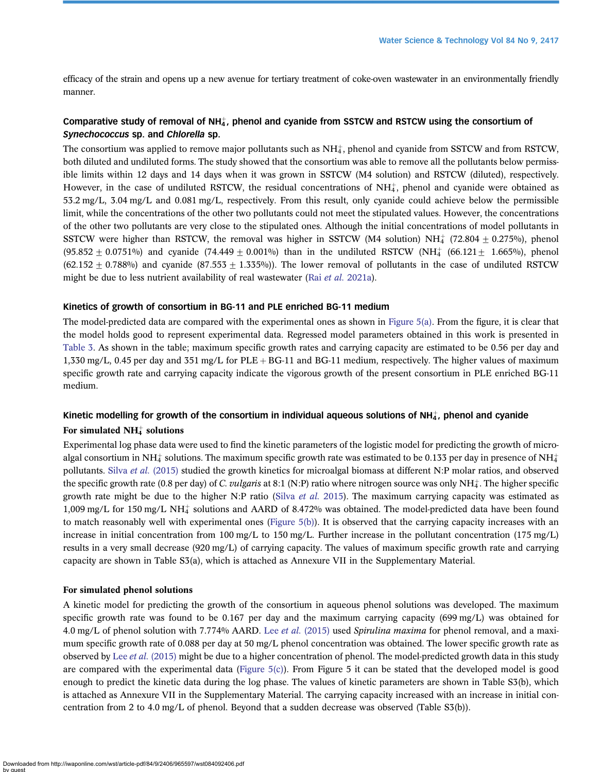efficacy of the strain and opens up a new avenue for tertiary treatment of coke-oven wastewater in an environmentally friendly manner.

#### Comparative study of removal of NH $_4^*$ , phenol and cyanide from SSTCW and RSTCW using the consortium of Synechococcus sp. and Chlorella sp.

The consortium was applied to remove major pollutants such as  $NH_4^*$ , phenol and cyanide from SSTCW and from RSTCW, both diluted and undiluted forms. The study showed that the consortium was able to remove all the pollutants below permissible limits within 12 days and 14 days when it was grown in SSTCW (M4 solution) and RSTCW (diluted), respectively. However, in the case of undiluted RSTCW, the residual concentrations of  $NH<sub>4</sub>$ , phenol and cyanide were obtained as 53.2 mg/L, 3.04 mg/L and 0.081 mg/L, respectively. From this result, only cyanide could achieve below the permissible limit, while the concentrations of the other two pollutants could not meet the stipulated values. However, the concentrations of the other two pollutants are very close to the stipulated ones. Although the initial concentrations of model pollutants in SSTCW were higher than RSTCW, the removal was higher in SSTCW (M4 solution)  $NH_4^+$  (72.804  $\pm$  0.275%), phenol  $(95.852 \pm 0.0751\%)$  and cyanide  $(74.449 \pm 0.001\%)$  than in the undiluted RSTCW (NH<sub>4</sub> (66.121  $\pm$  1.665%), phenol  $(62.152 + 0.788\%)$  and cyanide  $(87.553 + 1.335\%)$ . The lower removal of pollutants in the case of undiluted RSTCW might be due to less nutrient availability of real wastewater (Rai et al. [2021a](#page-14-0)).

#### Kinetics of growth of consortium in BG-11 and PLE enriched BG-11 medium

The model-predicted data are compared with the experimental ones as shown in [Figure 5\(a\)](#page-12-0). From the figure, it is clear that the model holds good to represent experimental data. Regressed model parameters obtained in this work is presented in [Table 3](#page-12-0). As shown in the table; maximum specific growth rates and carrying capacity are estimated to be 0.56 per day and 1,330 mg/L, 0.45 per day and 351 mg/L for PLE  $+$  BG-11 and BG-11 medium, respectively. The higher values of maximum specific growth rate and carrying capacity indicate the vigorous growth of the present consortium in PLE enriched BG-11 medium.

### Kinetic modelling for growth of the consortium in individual aqueous solutions of NH $_4^+$ , phenol and cyanide For simulated  $NH_4^+$  solutions

Experimental log phase data were used to find the kinetic parameters of the logistic model for predicting the growth of microalgal consortium in NH $_4^+$  solutions. The maximum specific growth rate was estimated to be 0.133 per day in presence of NH $_4^+$ pollutants. Silva et al. [\(2015\)](#page-15-0) studied the growth kinetics for microalgal biomass at different N:P molar ratios, and observed the specific growth rate (0.8 per day) of C. vulgaris at 8:1 (N:P) ratio where nitrogen source was only NH<sup>+</sup>. The higher specific growth rate might be due to the higher N:P ratio (Silva *[et al.](#page-15-0)* 2015). The maximum carrying capacity was estimated as 1,009 mg/L for 150 mg/L NH4 þ solutions and AARD of 8.472% was obtained. The model-predicted data have been found to match reasonably well with experimental ones [\(Figure 5\(b\)](#page-12-0)). It is observed that the carrying capacity increases with an increase in initial concentration from 100 mg/L to 150 mg/L. Further increase in the pollutant concentration (175 mg/L) results in a very small decrease (920 mg/L) of carrying capacity. The values of maximum specific growth rate and carrying capacity are shown in Table S3(a), which is attached as Annexure VII in the Supplementary Material.

#### For simulated phenol solutions

A kinetic model for predicting the growth of the consortium in aqueous phenol solutions was developed. The maximum specific growth rate was found to be 0.167 per day and the maximum carrying capacity (699 mg/L) was obtained for 4.0 mg/L of phenol solution with 7.774% AARD. Lee *et al.* [\(2015\)](#page-14-0) used Spirulina maxima for phenol removal, and a maximum specific growth rate of 0.088 per day at 50 mg/L phenol concentration was obtained. The lower specific growth rate as observed by Lee *et al.* [\(2015\)](#page-14-0) might be due to a higher concentration of phenol. The model-predicted growth data in this study are compared with the experimental data (Figure  $5(c)$ ). From Figure 5 it can be stated that the developed model is good enough to predict the kinetic data during the log phase. The values of kinetic parameters are shown in Table S3(b), which is attached as Annexure VII in the Supplementary Material. The carrying capacity increased with an increase in initial concentration from 2 to 4.0 mg/L of phenol. Beyond that a sudden decrease was observed (Table S3(b)).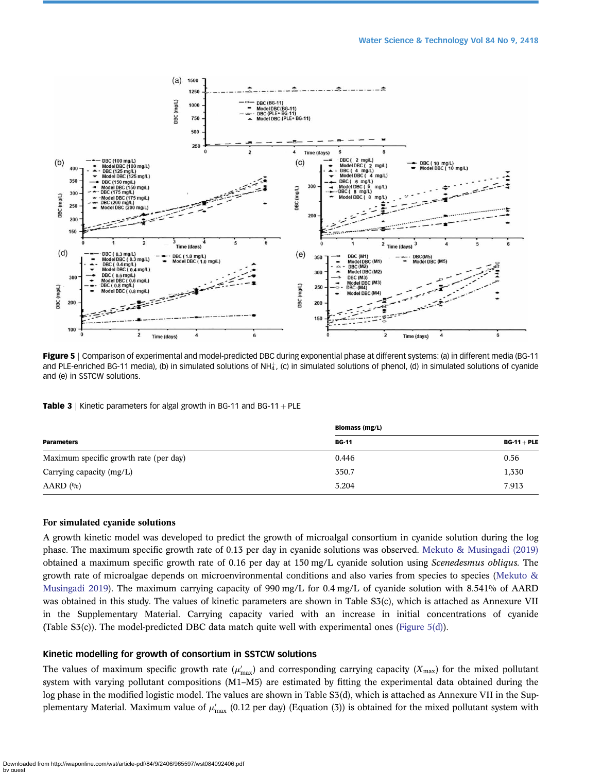<span id="page-12-0"></span>

Figure 5 | Comparison of experimental and model-predicted DBC during exponential phase at different systems: (a) in different media (BG-11 and PLE-enriched BG-11 media), (b) in simulated solutions of NH $_4^+$ , (c) in simulated solutions of phenol, (d) in simulated solutions of cyanide and (e) in SSTCW solutions.

**Table 3** | Kinetic parameters for algal growth in BG-11 and BG-11 + PLE

|                                        | <b>Biomass (mg/L)</b> |               |  |
|----------------------------------------|-----------------------|---------------|--|
| <b>Parameters</b>                      | <b>BG-11</b>          | $BG-11 + PLE$ |  |
| Maximum specific growth rate (per day) | 0.446                 | 0.56          |  |
| Carrying capacity (mg/L)               | 350.7                 | 1,330         |  |
| AARD (%)                               | 5.204                 | 7.913         |  |

#### For simulated cyanide solutions

A growth kinetic model was developed to predict the growth of microalgal consortium in cyanide solution during the log phase. The maximum specific growth rate of 0.13 per day in cyanide solutions was observed. [Mekuto & Musingadi \(2019\)](#page-14-0) obtained a maximum specific growth rate of 0.16 per day at 150 mg/L cyanide solution using Scenedesmus obliqus. The growth rate of microalgae depends on microenvironmental conditions and also varies from species to species [\(Mekuto &](#page-14-0) [Musingadi 2019\)](#page-14-0). The maximum carrying capacity of 990 mg/L for 0.4 mg/L of cyanide solution with 8.541% of AARD was obtained in this study. The values of kinetic parameters are shown in Table S3(c), which is attached as Annexure VII in the Supplementary Material. Carrying capacity varied with an increase in initial concentrations of cyanide (Table S3(c)). The model-predicted DBC data match quite well with experimental ones (Figure 5(d)).

#### Kinetic modelling for growth of consortium in SSTCW solutions

The values of maximum specific growth rate  $(\mu'_{max})$  and corresponding carrying capacity  $(X_{max})$  for the mixed pollutant system with varying pollutant compositions (M1–M5) are estimated by fitting the experimental data obtained during the log phase in the modified logistic model. The values are shown in Table S3(d), which is attached as Annexure VII in the Supplementary Material. Maximum value of  $\mu'_{\max}$  (0.12 per day) (Equation (3)) is obtained for the mixed pollutant system with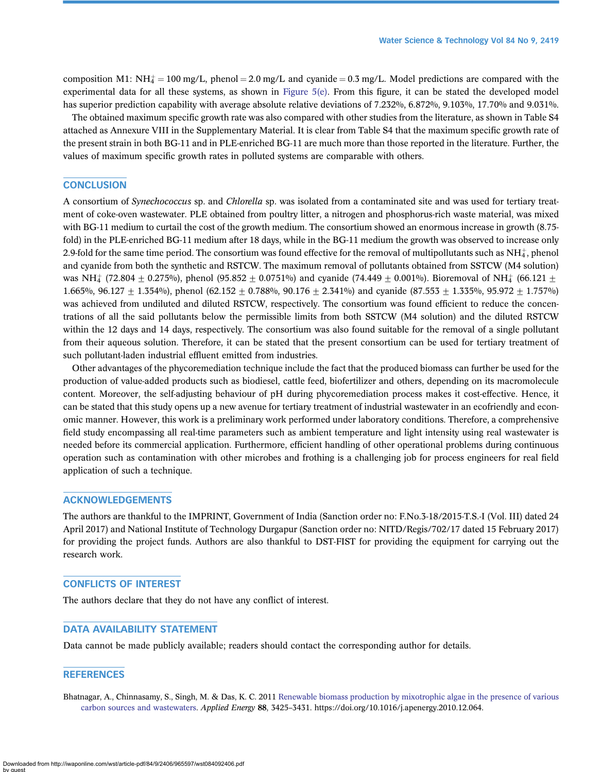<span id="page-13-0"></span>composition M1: NH $_4^+$  = 100 mg/L, phenol = 2.0 mg/L and cyanide = 0.3 mg/L. Model predictions are compared with the experimental data for all these systems, as shown in [Figure 5\(e\).](#page-12-0) From this figure, it can be stated the developed model has superior prediction capability with average absolute relative deviations of 7.232%, 6.872%, 9.103%, 17.70% and 9.031%.

The obtained maximum specific growth rate was also compared with other studies from the literature, as shown in Table S4 attached as Annexure VIII in the Supplementary Material. It is clear from Table S4 that the maximum specific growth rate of the present strain in both BG-11 and in PLE-enriched BG-11 are much more than those reported in the literature. Further, the values of maximum specific growth rates in polluted systems are comparable with others.

#### **CONCLUSION**

A consortium of Synechococcus sp. and Chlorella sp. was isolated from a contaminated site and was used for tertiary treatment of coke-oven wastewater. PLE obtained from poultry litter, a nitrogen and phosphorus-rich waste material, was mixed with BG-11 medium to curtail the cost of the growth medium. The consortium showed an enormous increase in growth (8.75fold) in the PLE-enriched BG-11 medium after 18 days, while in the BG-11 medium the growth was observed to increase only 2.9-fold for the same time period. The consortium was found effective for the removal of multipollutants such as NH $^*_\text{4}$ , phenol and cyanide from both the synthetic and RSTCW. The maximum removal of pollutants obtained from SSTCW (M4 solution) was NH $_4^+$  (72.804  $\pm$  0.275%), phenol (95.852  $\pm$  0.0751%) and cyanide (74.449  $\pm$  0.001%). Bioremoval of NH $_4^+$  (66.121  $\pm$ 1.665%, 96.127  $\pm$  1.354%), phenol (62.152  $\pm$  0.788%, 90.176  $\pm$  2.341%) and cyanide (87.553  $\pm$  1.355%, 95.972  $\pm$  1.757%) was achieved from undiluted and diluted RSTCW, respectively. The consortium was found efficient to reduce the concentrations of all the said pollutants below the permissible limits from both SSTCW (M4 solution) and the diluted RSTCW within the 12 days and 14 days, respectively. The consortium was also found suitable for the removal of a single pollutant from their aqueous solution. Therefore, it can be stated that the present consortium can be used for tertiary treatment of such pollutant-laden industrial effluent emitted from industries.

Other advantages of the phycoremediation technique include the fact that the produced biomass can further be used for the production of value-added products such as biodiesel, cattle feed, biofertilizer and others, depending on its macromolecule content. Moreover, the self-adjusting behaviour of pH during phycoremediation process makes it cost-effective. Hence, it can be stated that this study opens up a new avenue for tertiary treatment of industrial wastewater in an ecofriendly and economic manner. However, this work is a preliminary work performed under laboratory conditions. Therefore, a comprehensive field study encompassing all real-time parameters such as ambient temperature and light intensity using real wastewater is needed before its commercial application. Furthermore, efficient handling of other operational problems during continuous operation such as contamination with other microbes and frothing is a challenging job for process engineers for real field application of such a technique.

#### ACKNOWLEDGEMENTS

The authors are thankful to the IMPRINT, Government of India (Sanction order no: F.No.3-18/2015-T.S.-I (Vol. III) dated 24 April 2017) and National Institute of Technology Durgapur (Sanction order no: NITD/Regis/702/17 dated 15 February 2017) for providing the project funds. Authors are also thankful to DST-FIST for providing the equipment for carrying out the research work.

#### CONFLICTS OF INTEREST

The authors declare that they do not have any conflict of interest.

#### DATA AVAILABILITY STATEMENT

Data cannot be made publicly available; readers should contact the corresponding author for details.

#### **REFERENCES**

Bhatnagar, A., Chinnasamy, S., Singh, M. & Das, K. C. 2011 [Renewable biomass production by mixotrophic algae in the presence of various](http://dx.doi.org/10.1016/j.apenergy.2010.12.064) [carbon sources and wastewaters.](http://dx.doi.org/10.1016/j.apenergy.2010.12.064) Applied Energy 88, 3425–3431. https://doi.org/10.1016/j.apenergy.2010.12.064.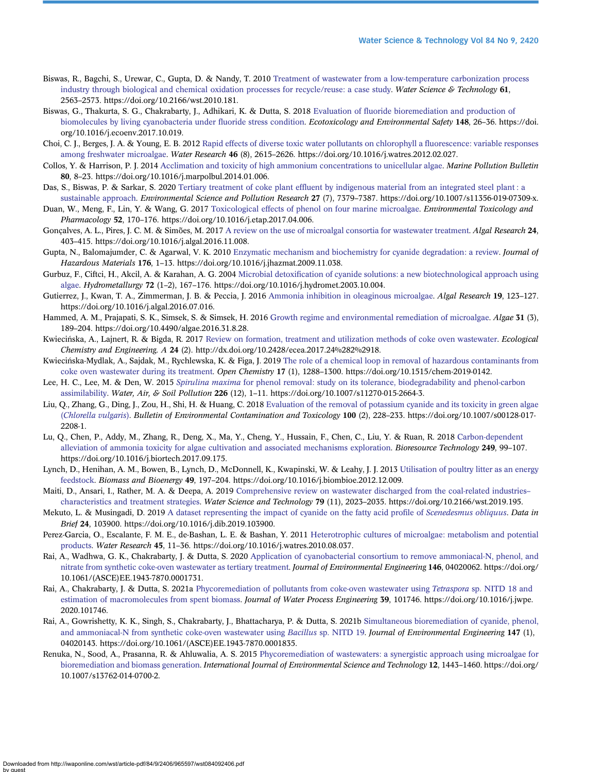- <span id="page-14-0"></span>Biswas, R., Bagchi, S., Urewar, C., Gupta, D. & Nandy, T. 2010 [Treatment of wastewater from a low-temperature carbonization process](http://dx.doi.org/10.2166/wst.2010.181) [industry through biological and chemical oxidation processes for recycle/reuse: a case study.](http://dx.doi.org/10.2166/wst.2010.181) Water Science & Technology 61, 2563–2573. https://doi.org/10.2166/wst.2010.181.
- Biswas, G., Thakurta, S. G., Chakrabarty, J., Adhikari, K. & Dutta, S. 2018 Evaluation of fl[uoride bioremediation and production of](http://dx.doi.org/10.1016/j.ecoenv.2017.10.019) [biomolecules by living cyanobacteria under](http://dx.doi.org/10.1016/j.ecoenv.2017.10.019) fluoride stress condition. Ecotoxicology and Environmental Safety 148, 26-36. https://doi. org/10.1016/j.ecoenv.2017.10.019.
- Choi, C. J., Berges, J. A. & Young, E. B. 2012 [Rapid effects of diverse toxic water pollutants on chlorophyll a](http://dx.doi.org/10.1016/j.watres.2012.02.027) fluorescence: variable responses [among freshwater microalgae](http://dx.doi.org/10.1016/j.watres.2012.02.027). Water Research 46 (8), 2615–2626. https://doi.org/10.1016/j.watres.2012.02.027.
- Collos, Y. & Harrison, P. J. 2014 [Acclimation and toxicity of high ammonium concentrations to unicellular algae.](http://dx.doi.org/10.1016/j.marpolbul.2014.01.006) Marine Pollution Bulletin 80, 8–23. https://doi.org/10.1016/j.marpolbul.2014.01.006.
- Das, S., Biswas, P. & Sarkar, S. 2020 Tertiary treatment of coke plant effl[uent by indigenous material from an integrated steel plant : a](http://dx.doi.org/10.1007/s11356-019-07309-x) [sustainable approach.](http://dx.doi.org/10.1007/s11356-019-07309-x) Environmental Science and Pollution Research 27 (7), 7379-7387. https://doi.org/10.1007/s11356-019-07309-x.
- Duan, W., Meng, F., Lin, Y. & Wang, G. 2017 [Toxicological effects of phenol on four marine microalgae.](http://dx.doi.org/10.1016/j.etap.2017.04.006) Environmental Toxicology and Pharmacology 52, 170–176. https://doi.org/10.1016/j.etap.2017.04.006.
- Gonçalves, A. L., Pires, J. C. M. & Simões, M. 2017 [A review on the use of microalgal consortia for wastewater treatment.](http://dx.doi.org/10.1016/j.algal.2016.11.008) Algal Research 24, 403–415. https://doi.org/10.1016/j.algal.2016.11.008.
- Gupta, N., Balomajumder, C. & Agarwal, V. K. 2010 [Enzymatic mechanism and biochemistry for cyanide degradation: a review](http://dx.doi.org/10.1016/j.jhazmat.2009.11.038). *Journal of* Hazardous Materials 176, 1–13. https://doi.org/10.1016/j.jhazmat.2009.11.038.
- Gurbuz, F., Ciftci, H., Akcil, A. & Karahan, A. G. 2004 Microbial detoxifi[cation of cyanide solutions: a new biotechnological approach using](http://dx.doi.org/10.1016/j.hydromet.2003.10.004) [algae](http://dx.doi.org/10.1016/j.hydromet.2003.10.004). Hydrometallurgy 72 (1–2), 167–176. https://doi.org/10.1016/j.hydromet.2003.10.004.
- Gutierrez, J., Kwan, T. A., Zimmerman, J. B. & Peccia, J. 2016 [Ammonia inhibition in oleaginous microalgae](http://dx.doi.org/10.1016/j.algal.2016.07.016). Algal Research 19, 123-127. https://doi.org/10.1016/j.algal.2016.07.016.
- Hammed, A. M., Prajapati, S. K., Simsek, S. & Simsek, H. 2016 [Growth regime and environmental remediation of microalgae](http://dx.doi.org/10.4490/algae.2016.31.8.28). Algae 31 (3), 189–204. https://doi.org/10.4490/algae.2016.31.8.28.
- Kwiecińska, A., Lajnert, R. & Bigda, R. 2017 [Review on formation, treatment and utilization methods of coke oven wastewater](http://dx.doi.org/10.2428/ecea.2017.24%282%2918). Ecological Chemistry and Engineering. A 24 (2). http://dx.doi.org/10.2428/ecea.2017.24%282%2918.
- Kwieciń ska-Mydlak, A., Sajdak, M., Rychlewska, K. & Figa, J. 2019 [The role of a chemical loop in removal of hazardous contaminants from](http://dx.doi.org/10.1515/chem-2019-0142) [coke oven wastewater during its treatment](http://dx.doi.org/10.1515/chem-2019-0142). Open Chemistry 17 (1), 1288–1300. https://doi.org/10.1515/chem-2019-0142.
- Lee, H. C., Lee, M. & Den, W. 2015 Spirulina maxima [for phenol removal: study on its tolerance, biodegradability and phenol-carbon](http://dx.doi.org/10.1007/s11270-015-2664-3) [assimilability](http://dx.doi.org/10.1007/s11270-015-2664-3). Water, Air, & Soil Pollution 226 (12), 1–11. https://doi.org/10.1007/s11270-015-2664-3.
- Liu, Q., Zhang, G., Ding, J., Zou, H., Shi, H. & Huang, C. 2018 [Evaluation of the removal of potassium cyanide and its toxicity in green algae](http://dx.doi.org/10.1007/s00128-017-2208-1) ([Chlorella vulgaris](http://dx.doi.org/10.1007/s00128-017-2208-1)). Bulletin of Environmental Contamination and Toxicology 100 (2), 228–233. https://doi.org/10.1007/s00128-017- 2208-1.
- Lu, Q., Chen, P., Addy, M., Zhang, R., Deng, X., Ma, Y., Cheng, Y., Hussain, F., Chen, C., Liu, Y. & Ruan, R. 2018 [Carbon-dependent](http://dx.doi.org/10.1016/j.biortech.2017.09.175) [alleviation of ammonia toxicity for algae cultivation and associated mechanisms exploration.](http://dx.doi.org/10.1016/j.biortech.2017.09.175) Bioresource Technology 249, 99–107. https://doi.org/10.1016/j.biortech.2017.09.175.
- Lynch, D., Henihan, A. M., Bowen, B., Lynch, D., McDonnell, K., Kwapinski, W. & Leahy, J. J. 2013 [Utilisation of poultry litter as an energy](http://dx.doi.org/10.1016/j.biombioe.2012.12.009) [feedstock](http://dx.doi.org/10.1016/j.biombioe.2012.12.009). Biomass and Bioenergy 49, 197–204. https://doi.org/10.1016/j.biombioe.2012.12.009.
- Maiti, D., Ansari, I., Rather, M. A. & Deepa, A. 2019 [Comprehensive review on wastewater discharged from the coal-related industries](http://dx.doi.org/10.2166/wst.2019.195) [characteristics and treatment strategies](http://dx.doi.org/10.2166/wst.2019.195). Water Science and Technology 79 (11), 2023–2035. https://doi.org/10.2166/wst.2019.195.
- Mekuto, L. & Musingadi, D. 2019 [A dataset representing the impact of cyanide on the fatty acid pro](http://dx.doi.org/10.1016/j.dib.2019.103900)file of Scenedesmus obliquus. Data in Brief 24, 103900. https://doi.org/10.1016/j.dib.2019.103900.
- Perez-Garcia, O., Escalante, F. M. E., de-Bashan, L. E. & Bashan, Y. 2011 [Heterotrophic cultures of microalgae: metabolism and potential](http://dx.doi.org/10.1016/j.watres.2010.08.037) [products.](http://dx.doi.org/10.1016/j.watres.2010.08.037) Water Research 45, 11–36. https://doi.org/10.1016/j.watres.2010.08.037.
- Rai, A., Wadhwa, G. K., Chakrabarty, J. & Dutta, S. 2020 [Application of cyanobacterial consortium to remove ammoniacal-N, phenol, and](http://dx.doi.org/10.1061/(ASCE)EE.1943-7870.0001731) [nitrate from synthetic coke-oven wastewater as tertiary treatment](http://dx.doi.org/10.1061/(ASCE)EE.1943-7870.0001731). Journal of Environmental Engineering 146, 04020062. https://doi.org/ 10.1061/(ASCE)EE.1943-7870.0001731.
- Rai, A., Chakrabarty, J. & Dutta, S. 2021a [Phycoremediation of pollutants from coke-oven wastewater using](http://dx.doi.org/10.1016/j.jwpe.2020.101746) Tetraspora sp. NITD 18 and [estimation of macromolecules from spent biomass](http://dx.doi.org/10.1016/j.jwpe.2020.101746). Journal of Water Process Engineering 39, 101746. https://doi.org/10.1016/j.jwpe. 2020.101746.
- Rai, A., Gowrishetty, K. K., Singh, S., Chakrabarty, J., Bhattacharya, P. & Dutta, S. 2021b [Simultaneous bioremediation of cyanide, phenol,](http://dx.doi.org/10.1061/(ASCE)EE.1943-7870.0001835) [and ammoniacal-N from synthetic coke-oven wastewater using](http://dx.doi.org/10.1061/(ASCE)EE.1943-7870.0001835) Bacillus sp. NITD 19. Journal of Environmental Engineering 147 (1), 04020143. https://doi.org/10.1061/(ASCE)EE.1943-7870.0001835.
- Renuka, N., Sood, A., Prasanna, R. & Ahluwalia, A. S. 2015 [Phycoremediation of wastewaters: a synergistic approach using microalgae for](http://dx.doi.org/10.1007/s13762-014-0700-2) [bioremediation and biomass generation](http://dx.doi.org/10.1007/s13762-014-0700-2). *International Journal of Environmental Science and Technology* 12, 1443–1460. https://doi.org/ 10.1007/s13762-014-0700-2.

Downloaded from http://iwaponline.com/wst/article-pdf/84/9/2406/965597/wst084092406.pdf by guest